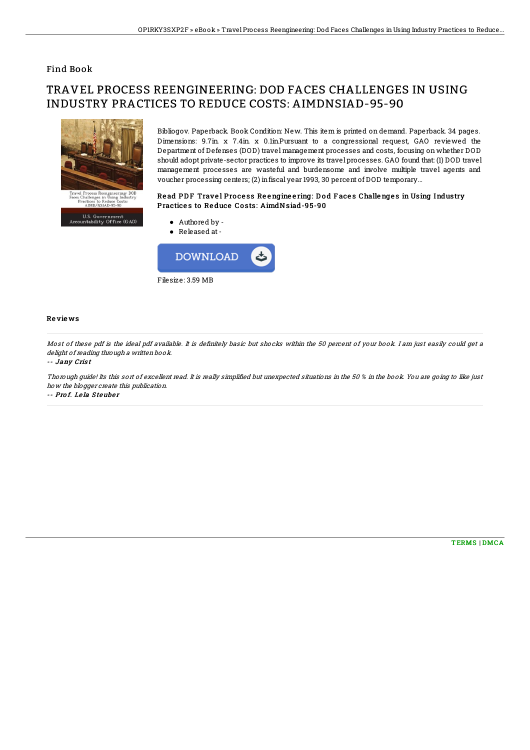# Find Book

# TRAVEL PROCESS REENGINEERING: DOD FACES CHALLENGES IN USING INDUSTRY PRACTICES TO REDUCE COSTS: AIMDNSIAD-95-90



Bibliogov. Paperback. Book Condition: New. This item is printed on demand. Paperback. 34 pages. Dimensions: 9.7in. x 7.4in. x 0.1in.Pursuant to a congressional request, GAO reviewed the Department of Defenses (DOD) travel management processes and costs, focusing on whether DOD should adopt private-sector practices to improve its travel processes. GAO found that: (1) DOD travel management processes are wasteful and burdensome and involve multiple travel agents and voucher processing centers; (2) infiscal year 1993, 30 percent of DOD temporary...

### Read PDF Travel Process Reengineering: Dod Faces Challenges in Using Industry Practices to Reduce Costs: AimdNsiad-95-90

U.S. Government<br>Accountability Office (GAO)



#### Re vie ws

Most of these pdf is the ideal pdf available. It is definitely basic but shocks within the 50 percent of your book. I am just easily could get a delight of reading through a written book.

#### -- Jany Cris <sup>t</sup>

Thorough guide! Its this sort of excellent read. It is really simplified but unexpected situations in the 50 % in the book. You are going to like just how the blogger create this publication.

-- Prof. Lela Steuber